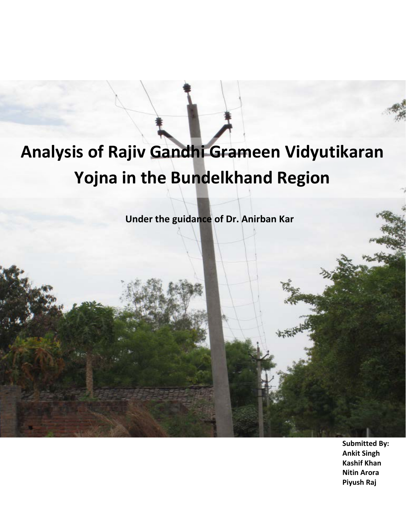# **Analysis of Rajiv Gandhi Grameen Vidyutikaran Yojna in the Bundelkhand Region**

**Under the guidance of Dr. Anirban Kar**

**Submitted By: Ankit Singh Kashif Khan Nitin Arora Piyush Raj**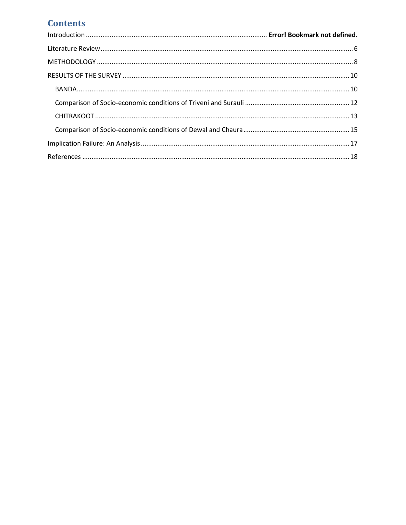## **Contents**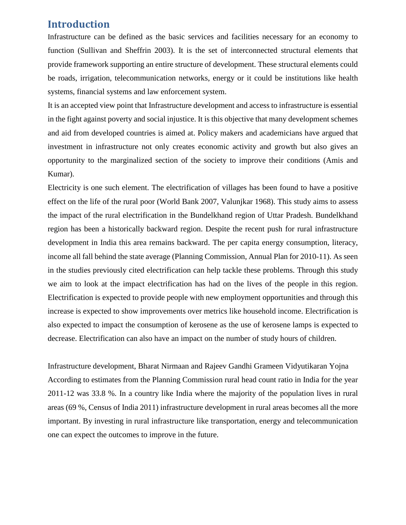### **Introduction**

Infrastructure can be defined as the basic services and facilities necessary for an economy to function (Sullivan and Sheffrin 2003). It is the set of interconnected structural elements that provide framework supporting an entire structure of development. These structural elements could be roads, irrigation, telecommunication networks, energy or it could be institutions like health systems, financial systems and law enforcement system.

It is an accepted view point that Infrastructure development and access to infrastructure is essential in the fight against poverty and social injustice. It is this objective that many development schemes and aid from developed countries is aimed at. Policy makers and academicians have argued that investment in infrastructure not only creates economic activity and growth but also gives an opportunity to the marginalized section of the society to improve their conditions (Amis and Kumar).

Electricity is one such element. The electrification of villages has been found to have a positive effect on the life of the rural poor (World Bank 2007, Valunjkar 1968). This study aims to assess the impact of the rural electrification in the Bundelkhand region of Uttar Pradesh. Bundelkhand region has been a historically backward region. Despite the recent push for rural infrastructure development in India this area remains backward. The per capita energy consumption, literacy, income all fall behind the state average (Planning Commission, Annual Plan for 2010-11). As seen in the studies previously cited electrification can help tackle these problems. Through this study we aim to look at the impact electrification has had on the lives of the people in this region. Electrification is expected to provide people with new employment opportunities and through this increase is expected to show improvements over metrics like household income. Electrification is also expected to impact the consumption of kerosene as the use of kerosene lamps is expected to decrease. Electrification can also have an impact on the number of study hours of children.

Infrastructure development, Bharat Nirmaan and Rajeev Gandhi Grameen Vidyutikaran Yojna According to estimates from the Planning Commission rural head count ratio in India for the year 2011-12 was 33.8 %. In a country like India where the majority of the population lives in rural areas (69 %, Census of India 2011) infrastructure development in rural areas becomes all the more important. By investing in rural infrastructure like transportation, energy and telecommunication one can expect the outcomes to improve in the future.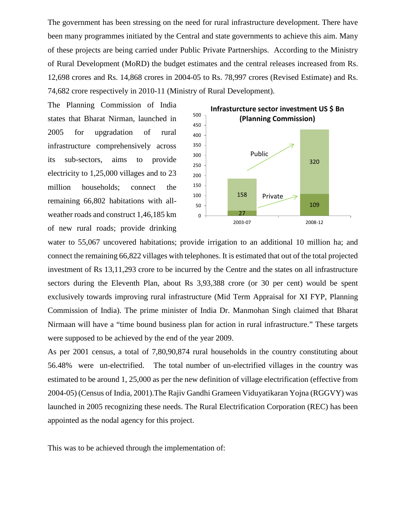The government has been stressing on the need for rural infrastructure development. There have been many programmes initiated by the Central and state governments to achieve this aim. Many of these projects are being carried under Public Private Partnerships. According to the Ministry of Rural Development (MoRD) the budget estimates and the central releases increased from Rs. 12,698 crores and Rs. 14,868 crores in 2004-05 to Rs. 78,997 crores (Revised Estimate) and Rs. 74,682 crore respectively in 2010-11 (Ministry of Rural Development).

The Planning Commission of India states that Bharat Nirman, launched in 2005 for upgradation of rural infrastructure comprehensively across its sub-sectors, aims to provide electricity to 1,25,000 villages and to 23 million households; connect the remaining 66,802 habitations with allweather roads and construct 1,46,185 km of new rural roads; provide drinking



water to 55,067 uncovered habitations; provide irrigation to an additional 10 million ha; and connect the remaining 66,822 villages with telephones. It is estimated that out of the total projected investment of Rs 13,11,293 crore to be incurred by the Centre and the states on all infrastructure sectors during the Eleventh Plan, about Rs 3,93,388 crore (or 30 per cent) would be spent exclusively towards improving rural infrastructure (Mid Term Appraisal for XI FYP, Planning Commission of India). The prime minister of India Dr. Manmohan Singh claimed that Bharat Nirmaan will have a "time bound business plan for action in rural infrastructure." These targets were supposed to be achieved by the end of the year 2009.

As per 2001 census, a total of 7,80,90,874 rural households in the country constituting about 56.48% were un-electrified. The total number of un-electrified villages in the country was estimated to be around 1, 25,000 as per the new definition of village electrification (effective from 2004-05) (Census of India, 2001).The Rajiv Gandhi Grameen Viduyatikaran Yojna (RGGVY) was launched in 2005 recognizing these needs. The Rural Electrification Corporation (REC) has been appointed as the nodal agency for this project.

This was to be achieved through the implementation of: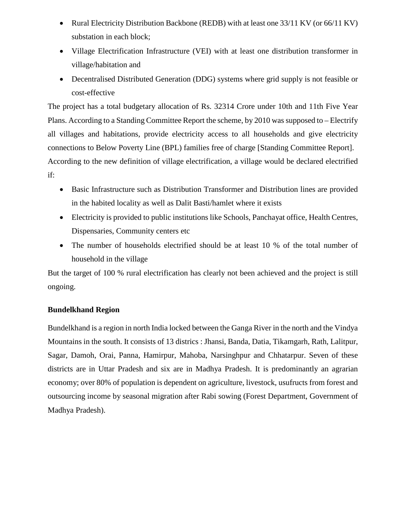- Rural Electricity Distribution Backbone (REDB) with at least one 33/11 KV (or 66/11 KV) substation in each block;
- Village Electrification Infrastructure (VEI) with at least one distribution transformer in village/habitation and
- Decentralised Distributed Generation (DDG) systems where grid supply is not feasible or cost-effective

The project has a total budgetary allocation of Rs. 32314 Crore under 10th and 11th Five Year Plans. According to a Standing Committee Report the scheme, by 2010 was supposed to – Electrify all villages and habitations, provide electricity access to all households and give electricity connections to Below Poverty Line (BPL) families free of charge [Standing Committee Report]. According to the new definition of village electrification, a village would be declared electrified if:

- Basic Infrastructure such as Distribution Transformer and Distribution lines are provided in the habited locality as well as Dalit Basti/hamlet where it exists
- Electricity is provided to public institutions like Schools, Panchayat office, Health Centres, Dispensaries, Community centers etc
- The number of households electrified should be at least 10 % of the total number of household in the village

But the target of 100 % rural electrification has clearly not been achieved and the project is still ongoing.

#### **Bundelkhand Region**

Bundelkhand is a region in north India locked between the Ganga River in the north and the Vindya Mountains in the south. It consists of 13 districs : Jhansi, Banda, Datia, Tikamgarh, Rath, Lalitpur, Sagar, Damoh, Orai, Panna, Hamirpur, Mahoba, Narsinghpur and Chhatarpur. Seven of these districts are in Uttar Pradesh and six are in Madhya Pradesh. It is predominantly an agrarian economy; over 80% of population is dependent on agriculture, livestock, usufructs from forest and outsourcing income by seasonal migration after Rabi sowing (Forest Department, Government of Madhya Pradesh).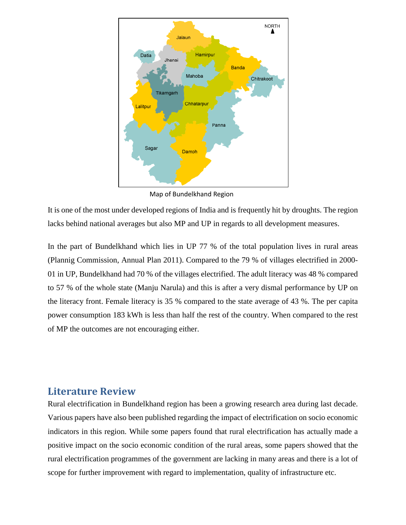

Map of Bundelkhand Region

It is one of the most under developed regions of India and is frequently hit by droughts. The region lacks behind national averages but also MP and UP in regards to all development measures.

In the part of Bundelkhand which lies in UP 77 % of the total population lives in rural areas (Plannig Commission, Annual Plan 2011). Compared to the 79 % of villages electrified in 2000- 01 in UP, Bundelkhand had 70 % of the villages electrified. The adult literacy was 48 % compared to 57 % of the whole state (Manju Narula) and this is after a very dismal performance by UP on the literacy front. Female literacy is 35 % compared to the state average of 43 %. The per capita power consumption 183 kWh is less than half the rest of the country. When compared to the rest of MP the outcomes are not encouraging either.

#### <span id="page-5-0"></span>**Literature Review**

Rural electrification in Bundelkhand region has been a growing research area during last decade. Various papers have also been published regarding the impact of electrification on socio economic indicators in this region. While some papers found that rural electrification has actually made a positive impact on the socio economic condition of the rural areas, some papers showed that the rural electrification programmes of the government are lacking in many areas and there is a lot of scope for further improvement with regard to implementation, quality of infrastructure etc.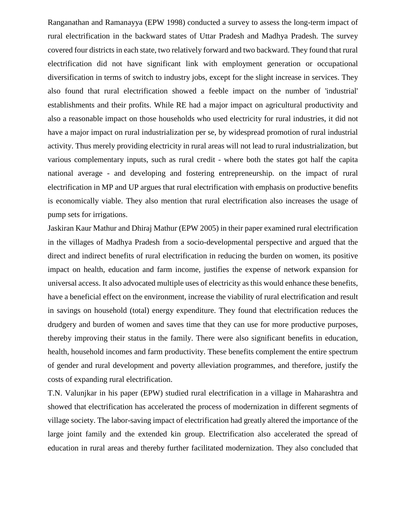Ranganathan and Ramanayya (EPW 1998) conducted a survey to assess the long-term impact of rural electrification in the backward states of Uttar Pradesh and Madhya Pradesh. The survey covered four districts in each state, two relatively forward and two backward. They found that rural electrification did not have significant link with employment generation or occupational diversification in terms of switch to industry jobs, except for the slight increase in services. They also found that rural electrification showed a feeble impact on the number of 'industrial' establishments and their profits. While RE had a major impact on agricultural productivity and also a reasonable impact on those households who used electricity for rural industries, it did not have a major impact on rural industrialization per se, by widespread promotion of rural industrial activity. Thus merely providing electricity in rural areas will not lead to rural industrialization, but various complementary inputs, such as rural credit - where both the states got half the capita national average - and developing and fostering entrepreneurship. on the impact of rural electrification in MP and UP argues that rural electrification with emphasis on productive benefits is economically viable. They also mention that rural electrification also increases the usage of pump sets for irrigations.

Jaskiran Kaur Mathur and Dhiraj Mathur (EPW 2005) in their paper examined rural electrification in the villages of Madhya Pradesh from a socio-developmental perspective and argued that the direct and indirect benefits of rural electrification in reducing the burden on women, its positive impact on health, education and farm income, justifies the expense of network expansion for universal access. It also advocated multiple uses of electricity as this would enhance these benefits, have a beneficial effect on the environment, increase the viability of rural electrification and result in savings on household (total) energy expenditure. They found that electrification reduces the drudgery and burden of women and saves time that they can use for more productive purposes, thereby improving their status in the family. There were also significant benefits in education, health, household incomes and farm productivity. These benefits complement the entire spectrum of gender and rural development and poverty alleviation programmes, and therefore, justify the costs of expanding rural electrification.

T.N. Valunjkar in his paper (EPW) studied rural electrification in a village in Maharashtra and showed that electrification has accelerated the process of modernization in different segments of village society. The labor-saving impact of electrification had greatly altered the importance of the large joint family and the extended kin group. Electrification also accelerated the spread of education in rural areas and thereby further facilitated modernization. They also concluded that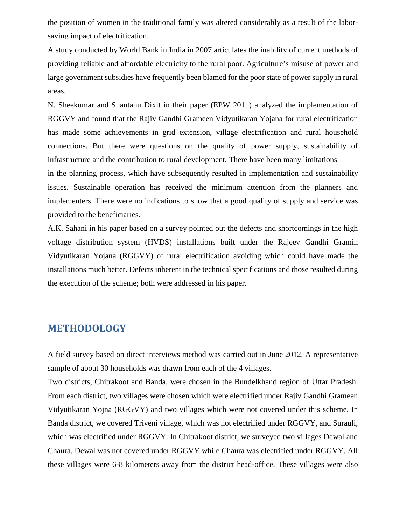the position of women in the traditional family was altered considerably as a result of the laborsaving impact of electrification.

A study conducted by World Bank in India in 2007 articulates the inability of current methods of providing reliable and affordable electricity to the rural poor. Agriculture's misuse of power and large government subsidies have frequently been blamed for the poor state of power supply in rural areas.

N. Sheekumar and Shantanu Dixit in their paper (EPW 2011) analyzed the implementation of RGGVY and found that the Rajiv Gandhi Grameen Vidyutikaran Yojana for rural electrification has made some achievements in grid extension, village electrification and rural household connections. But there were questions on the quality of power supply, sustainability of infrastructure and the contribution to rural development. There have been many limitations in the planning process, which have subsequently resulted in implementation and sustainability issues. Sustainable operation has received the minimum attention from the planners and implementers. There were no indications to show that a good quality of supply and service was

provided to the beneficiaries.

A.K. Sahani in his paper based on a survey pointed out the defects and shortcomings in the high voltage distribution system (HVDS) installations built under the Rajeev Gandhi Gramin Vidyutikaran Yojana (RGGVY) of rural electrification avoiding which could have made the installations much better. Defects inherent in the technical specifications and those resulted during the execution of the scheme; both were addressed in his paper.

#### <span id="page-7-0"></span>**METHODOLOGY**

A field survey based on direct interviews method was carried out in June 2012. A representative sample of about 30 households was drawn from each of the 4 villages.

Two districts, Chitrakoot and Banda, were chosen in the Bundelkhand region of Uttar Pradesh. From each district, two villages were chosen which were electrified under Rajiv Gandhi Grameen Vidyutikaran Yojna (RGGVY) and two villages which were not covered under this scheme. In Banda district, we covered Triveni village, which was not electrified under RGGVY, and Surauli, which was electrified under RGGVY. In Chitrakoot district, we surveyed two villages Dewal and Chaura. Dewal was not covered under RGGVY while Chaura was electrified under RGGVY. All these villages were 6-8 kilometers away from the district head-office. These villages were also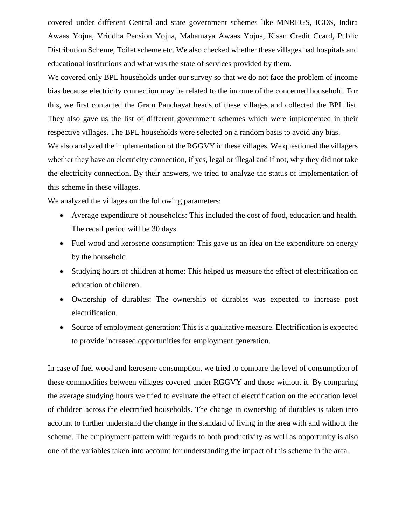covered under different Central and state government schemes like MNREGS, ICDS, Indira Awaas Yojna, Vriddha Pension Yojna, Mahamaya Awaas Yojna, Kisan Credit Ccard, Public Distribution Scheme, Toilet scheme etc. We also checked whether these villages had hospitals and educational institutions and what was the state of services provided by them.

We covered only BPL households under our survey so that we do not face the problem of income bias because electricity connection may be related to the income of the concerned household. For this, we first contacted the Gram Panchayat heads of these villages and collected the BPL list. They also gave us the list of different government schemes which were implemented in their respective villages. The BPL households were selected on a random basis to avoid any bias.

We also analyzed the implementation of the RGGVY in these villages. We questioned the villagers whether they have an electricity connection, if yes, legal or illegal and if not, why they did not take the electricity connection. By their answers, we tried to analyze the status of implementation of this scheme in these villages.

We analyzed the villages on the following parameters:

- Average expenditure of households: This included the cost of food, education and health. The recall period will be 30 days.
- Fuel wood and kerosene consumption: This gave us an idea on the expenditure on energy by the household.
- Studying hours of children at home: This helped us measure the effect of electrification on education of children.
- Ownership of durables: The ownership of durables was expected to increase post electrification.
- Source of employment generation: This is a qualitative measure. Electrification is expected to provide increased opportunities for employment generation.

In case of fuel wood and kerosene consumption, we tried to compare the level of consumption of these commodities between villages covered under RGGVY and those without it. By comparing the average studying hours we tried to evaluate the effect of electrification on the education level of children across the electrified households. The change in ownership of durables is taken into account to further understand the change in the standard of living in the area with and without the scheme. The employment pattern with regards to both productivity as well as opportunity is also one of the variables taken into account for understanding the impact of this scheme in the area.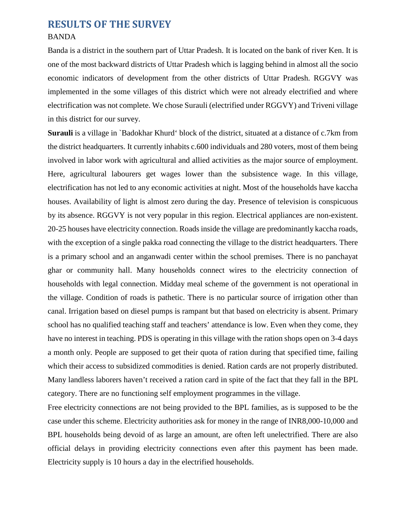#### <span id="page-9-1"></span><span id="page-9-0"></span>**RESULTS OF THE SURVEY** BANDA

Banda is a district in the southern part of Uttar Pradesh. It is located on the bank of river Ken. It is one of the most backward districts of Uttar Pradesh which is lagging behind in almost all the socio economic indicators of development from the other districts of Uttar Pradesh. RGGVY was implemented in the some villages of this district which were not already electrified and where electrification was not complete. We chose Surauli (electrified under RGGVY) and Triveni village in this district for our survey.

**Surauli** is a village in `Badokhar Khurd' block of the district, situated at a distance of c.7km from the district headquarters. It currently inhabits c.600 individuals and 280 voters, most of them being involved in labor work with agricultural and allied activities as the major source of employment. Here, agricultural labourers get wages lower than the subsistence wage. In this village, electrification has not led to any economic activities at night. Most of the households have kaccha houses. Availability of light is almost zero during the day. Presence of television is conspicuous by its absence. RGGVY is not very popular in this region. Electrical appliances are non-existent. 20-25 houses have electricity connection. Roads inside the village are predominantly kaccha roads, with the exception of a single pakka road connecting the village to the district headquarters. There is a primary school and an anganwadi center within the school premises. There is no panchayat ghar or community hall. Many households connect wires to the electricity connection of households with legal connection. Midday meal scheme of the government is not operational in the village. Condition of roads is pathetic. There is no particular source of irrigation other than canal. Irrigation based on diesel pumps is rampant but that based on electricity is absent. Primary school has no qualified teaching staff and teachers' attendance is low. Even when they come, they have no interest in teaching. PDS is operating in this village with the ration shops open on 3-4 days a month only. People are supposed to get their quota of ration during that specified time, failing which their access to subsidized commodities is denied. Ration cards are not properly distributed. Many landless laborers haven't received a ration card in spite of the fact that they fall in the BPL category. There are no functioning self employment programmes in the village.

Free electricity connections are not being provided to the BPL families, as is supposed to be the case under this scheme. Electricity authorities ask for money in the range of INR8,000-10,000 and BPL households being devoid of as large an amount, are often left unelectrified. There are also official delays in providing electricity connections even after this payment has been made. Electricity supply is 10 hours a day in the electrified households.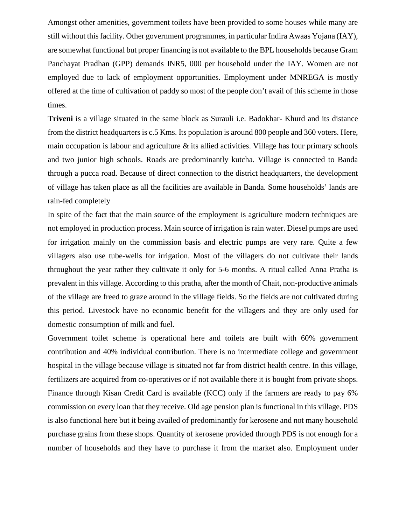Amongst other amenities, government toilets have been provided to some houses while many are still without this facility. Other government programmes, in particular Indira Awaas Yojana (IAY), are somewhat functional but proper financing is not available to the BPL households because Gram Panchayat Pradhan (GPP) demands INR5, 000 per household under the IAY. Women are not employed due to lack of employment opportunities. Employment under MNREGA is mostly offered at the time of cultivation of paddy so most of the people don't avail of this scheme in those times.

**Triveni** is a village situated in the same block as Surauli i.e. Badokhar- Khurd and its distance from the district headquarters is c.5 Kms. Its population is around 800 people and 360 voters. Here, main occupation is labour and agriculture  $\&$  its allied activities. Village has four primary schools and two junior high schools. Roads are predominantly kutcha. Village is connected to Banda through a pucca road. Because of direct connection to the district headquarters, the development of village has taken place as all the facilities are available in Banda. Some households' lands are rain-fed completely

In spite of the fact that the main source of the employment is agriculture modern techniques are not employed in production process. Main source of irrigation is rain water. Diesel pumps are used for irrigation mainly on the commission basis and electric pumps are very rare. Quite a few villagers also use tube-wells for irrigation. Most of the villagers do not cultivate their lands throughout the year rather they cultivate it only for 5-6 months. A ritual called Anna Pratha is prevalent in this village. According to this pratha, after the month of Chait, non-productive animals of the village are freed to graze around in the village fields. So the fields are not cultivated during this period. Livestock have no economic benefit for the villagers and they are only used for domestic consumption of milk and fuel.

Government toilet scheme is operational here and toilets are built with 60% government contribution and 40% individual contribution. There is no intermediate college and government hospital in the village because village is situated not far from district health centre. In this village, fertilizers are acquired from co-operatives or if not available there it is bought from private shops. Finance through Kisan Credit Card is available (KCC) only if the farmers are ready to pay 6% commission on every loan that they receive. Old age pension plan is functional in this village. PDS is also functional here but it being availed of predominantly for kerosene and not many household purchase grains from these shops. Quantity of kerosene provided through PDS is not enough for a number of households and they have to purchase it from the market also. Employment under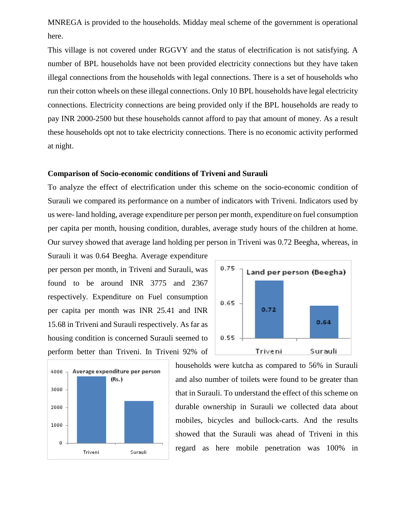MNREGA is provided to the households. Midday meal scheme of the government is operational here.

This village is not covered under RGGVY and the status of electrification is not satisfying. A number of BPL households have not been provided electricity connections but they have taken illegal connections from the households with legal connections. There is a set of households who run their cotton wheels on these illegal connections. Only 10 BPL households have legal electricity connections. Electricity connections are being provided only if the BPL households are ready to pay INR 2000-2500 but these households cannot afford to pay that amount of money. As a result these households opt not to take electricity connections. There is no economic activity performed at night.

#### <span id="page-11-0"></span>**Comparison of Socio-economic conditions of Triveni and Surauli**

To analyze the effect of electrification under this scheme on the socio-economic condition of Surauli we compared its performance on a number of indicators with Triveni. Indicators used by us were- land holding, average expenditure per person per month, expenditure on fuel consumption per capita per month, housing condition, durables, average study hours of the children at home. Our survey showed that average land holding per person in Triveni was 0.72 Beegha, whereas, in

Surauli it was 0.64 Beegha. Average expenditure per person per month, in Triveni and Surauli, was found to be around INR 3775 and 2367 respectively. Expenditure on Fuel consumption per capita per month was INR 25.41 and INR 15.68 in Triveni and Surauli respectively. As far as housing condition is concerned Surauli seemed to perform better than Triveni. In Triveni 92% of





households were kutcha as compared to 56% in Surauli and also number of toilets were found to be greater than that in Surauli. To understand the effect of this scheme on durable ownership in Surauli we collected data about mobiles, bicycles and bullock-carts. And the results showed that the Surauli was ahead of Triveni in this regard as here mobile penetration was 100% in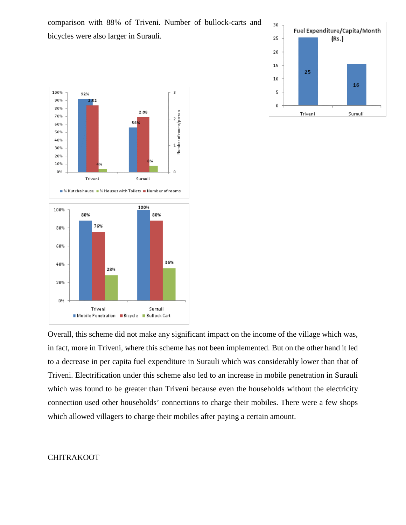comparison with 88% of Triveni. Number of bullock-carts and bicycles were also larger in Surauli.





Overall, this scheme did not make any significant impact on the income of the village which was, in fact, more in Triveni, where this scheme has not been implemented. But on the other hand it led to a decrease in per capita fuel expenditure in Surauli which was considerably lower than that of Triveni. Electrification under this scheme also led to an increase in mobile penetration in Surauli which was found to be greater than Triveni because even the households without the electricity connection used other households' connections to charge their mobiles. There were a few shops which allowed villagers to charge their mobiles after paying a certain amount.

#### <span id="page-12-0"></span>CHITRAKOOT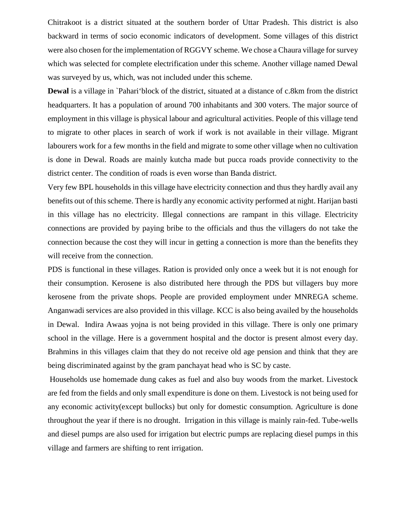Chitrakoot is a district situated at the southern border of Uttar Pradesh. This district is also backward in terms of socio economic indicators of development. Some villages of this district were also chosen for the implementation of RGGVY scheme. We chose a Chaura village for survey which was selected for complete electrification under this scheme. Another village named Dewal was surveyed by us, which, was not included under this scheme.

**Dewal** is a village in `Pahari'block of the district, situated at a distance of c.8km from the district headquarters. It has a population of around 700 inhabitants and 300 voters. The major source of employment in this village is physical labour and agricultural activities. People of this village tend to migrate to other places in search of work if work is not available in their village. Migrant labourers work for a few months in the field and migrate to some other village when no cultivation is done in Dewal. Roads are mainly kutcha made but pucca roads provide connectivity to the district center. The condition of roads is even worse than Banda district.

Very few BPL households in this village have electricity connection and thus they hardly avail any benefits out of this scheme. There is hardly any economic activity performed at night. Harijan basti in this village has no electricity. Illegal connections are rampant in this village. Electricity connections are provided by paying bribe to the officials and thus the villagers do not take the connection because the cost they will incur in getting a connection is more than the benefits they will receive from the connection.

PDS is functional in these villages. Ration is provided only once a week but it is not enough for their consumption. Kerosene is also distributed here through the PDS but villagers buy more kerosene from the private shops. People are provided employment under MNREGA scheme. Anganwadi services are also provided in this village. KCC is also being availed by the households in Dewal. Indira Awaas yojna is not being provided in this village. There is only one primary school in the village. Here is a government hospital and the doctor is present almost every day. Brahmins in this villages claim that they do not receive old age pension and think that they are being discriminated against by the gram panchayat head who is SC by caste.

Households use homemade dung cakes as fuel and also buy woods from the market. Livestock are fed from the fields and only small expenditure is done on them. Livestock is not being used for any economic activity(except bullocks) but only for domestic consumption. Agriculture is done throughout the year if there is no drought. Irrigation in this village is mainly rain-fed. Tube-wells and diesel pumps are also used for irrigation but electric pumps are replacing diesel pumps in this village and farmers are shifting to rent irrigation.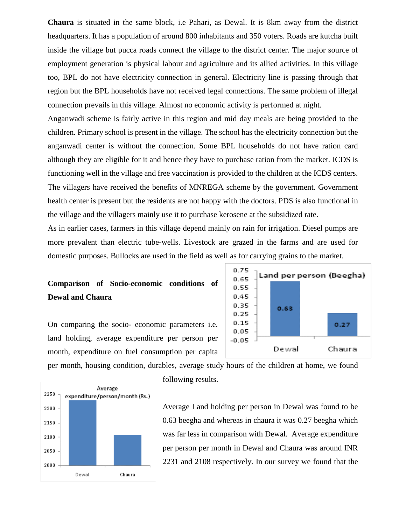**Chaura** is situated in the same block, i.e Pahari, as Dewal. It is 8km away from the district headquarters. It has a population of around 800 inhabitants and 350 voters. Roads are kutcha built inside the village but pucca roads connect the village to the district center. The major source of employment generation is physical labour and agriculture and its allied activities. In this village too, BPL do not have electricity connection in general. Electricity line is passing through that region but the BPL households have not received legal connections. The same problem of illegal connection prevails in this village. Almost no economic activity is performed at night.

Anganwadi scheme is fairly active in this region and mid day meals are being provided to the children. Primary school is present in the village. The school has the electricity connection but the anganwadi center is without the connection. Some BPL households do not have ration card although they are eligible for it and hence they have to purchase ration from the market. ICDS is functioning well in the village and free vaccination is provided to the children at the ICDS centers. The villagers have received the benefits of MNREGA scheme by the government. Government health center is present but the residents are not happy with the doctors. PDS is also functional in the village and the villagers mainly use it to purchase kerosene at the subsidized rate.

As in earlier cases, farmers in this village depend mainly on rain for irrigation. Diesel pumps are more prevalent than electric tube-wells. Livestock are grazed in the farms and are used for domestic purposes. Bullocks are used in the field as well as for carrying grains to the market.

#### <span id="page-14-0"></span>**Comparison of Socio-economic conditions of Dewal and Chaura**

On comparing the socio- economic parameters i.e. land holding, average expenditure per person per month, expenditure on fuel consumption per capita



per month, housing condition, durables, average study hours of the children at home, we found



following results.

Average Land holding per person in Dewal was found to be 0.63 beegha and whereas in chaura it was 0.27 beegha which was far less in comparison with Dewal. Average expenditure per person per month in Dewal and Chaura was around INR 2231 and 2108 respectively. In our survey we found that the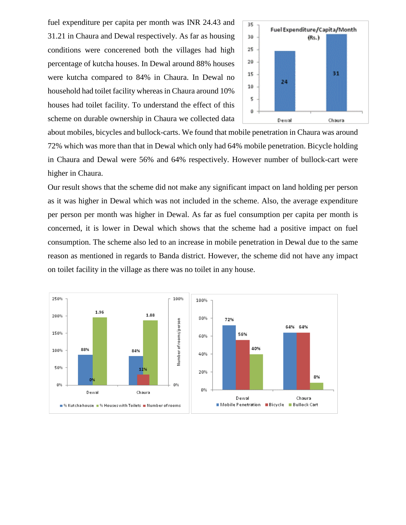fuel expenditure per capita per month was INR 24.43 and 31.21 in Chaura and Dewal respectively. As far as housing conditions were concerened both the villages had high percentage of kutcha houses. In Dewal around 88% houses were kutcha compared to 84% in Chaura. In Dewal no household had toilet facility whereas in Chaura around 10% houses had toilet facility. To understand the effect of this scheme on durable ownership in Chaura we collected data

<span id="page-15-0"></span>

about mobiles, bicycles and bullock-carts. We found that mobile penetration in Chaura was around 72% which was more than that in Dewal which only had 64% mobile penetration. Bicycle holding in Chaura and Dewal were 56% and 64% respectively. However number of bullock-cart were higher in Chaura.

Our result shows that the scheme did not make any significant impact on land holding per person as it was higher in Dewal which was not included in the scheme. Also, the average expenditure per person per month was higher in Dewal. As far as fuel consumption per capita per month is concerned, it is lower in Dewal which shows that the scheme had a positive impact on fuel consumption. The scheme also led to an increase in mobile penetration in Dewal due to the same reason as mentioned in regards to Banda district. However, the scheme did not have any impact on toilet facility in the village as there was no toilet in any house.

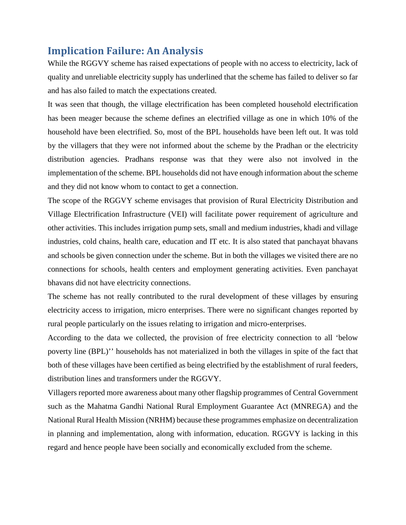#### **Implication Failure: An Analysis**

While the RGGVY scheme has raised expectations of people with no access to electricity, lack of quality and unreliable electricity supply has underlined that the scheme has failed to deliver so far and has also failed to match the expectations created.

It was seen that though, the village electrification has been completed household electrification has been meager because the scheme defines an electrified village as one in which 10% of the household have been electrified. So, most of the BPL households have been left out. It was told by the villagers that they were not informed about the scheme by the Pradhan or the electricity distribution agencies. Pradhans response was that they were also not involved in the implementation of the scheme. BPL households did not have enough information about the scheme and they did not know whom to contact to get a connection.

The scope of the RGGVY scheme envisages that provision of Rural Electricity Distribution and Village Electrification Infrastructure (VEI) will facilitate power requirement of agriculture and other activities. This includes irrigation pump sets, small and medium industries, khadi and village industries, cold chains, health care, education and IT etc. It is also stated that panchayat bhavans and schools be given connection under the scheme. But in both the villages we visited there are no connections for schools, health centers and employment generating activities. Even panchayat bhavans did not have electricity connections.

The scheme has not really contributed to the rural development of these villages by ensuring electricity access to irrigation, micro enterprises. There were no significant changes reported by rural people particularly on the issues relating to irrigation and micro-enterprises.

According to the data we collected, the provision of free electricity connection to all 'below poverty line (BPL)'' households has not materialized in both the villages in spite of the fact that both of these villages have been certified as being electrified by the establishment of rural feeders, distribution lines and transformers under the RGGVY.

Villagers reported more awareness about many other flagship programmes of Central Government such as the Mahatma Gandhi National Rural Employment Guarantee Act (MNREGA) and the National Rural Health Mission (NRHM) because these programmes emphasize on decentralization in planning and implementation, along with information, education. RGGVY is lacking in this regard and hence people have been socially and economically excluded from the scheme.